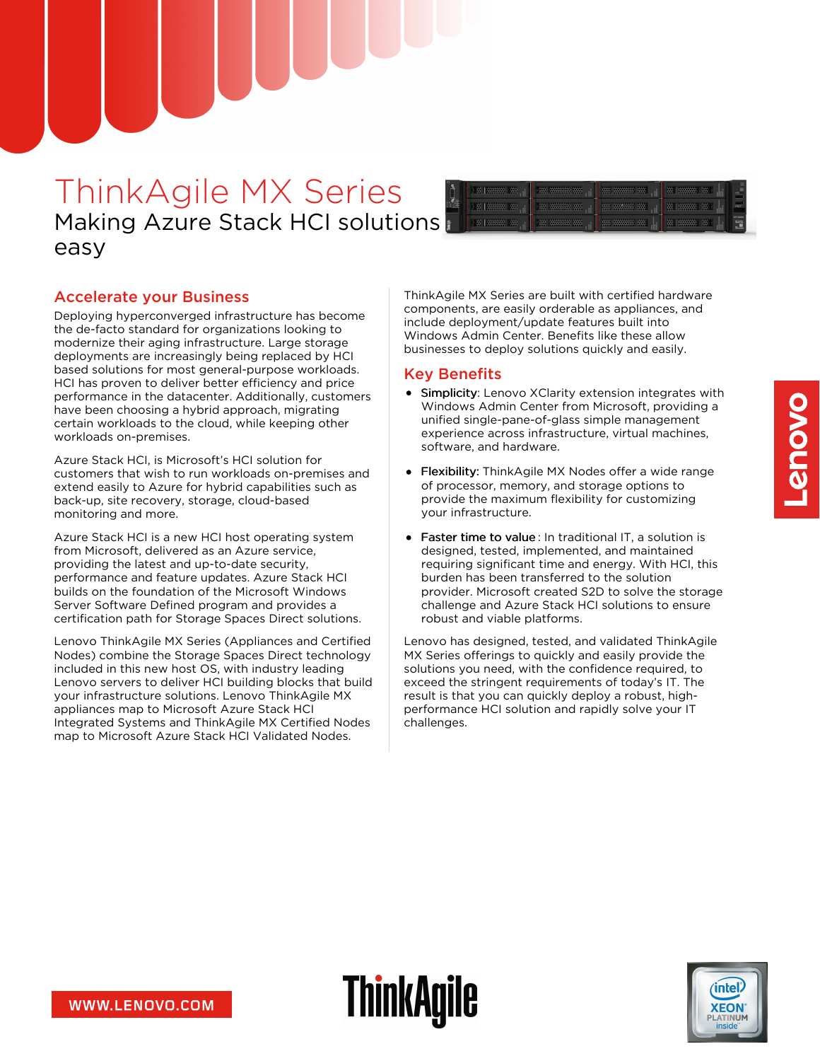# ThinkAgile MX Series Making Azure Stack HCI solutions easy

### Accelerate your Business

Deploying hyperconverged infrastructure has become the de-facto standard for organizations looking to modernize their aging infrastructure. Large storage deployments are increasingly being replaced by HCI based solutions for most general-purpose workloads. HCI has proven to deliver better efficiency and price performance in the datacenter. Additionally, customers have been choosing a hybrid approach, migrating certain workloads to the cloud, while keeping other workloads on-premises.

Azure Stack HCI, is Microsoft's HCI solution for customers that wish to run workloads on-premises and extend easily to Azure for hybrid capabilities such as back-up, site recovery, storage, cloud-based monitoring and more.

Azure Stack HCI is a new HCI host operating system from Microsoft, delivered as an Azure service, providing the latest and up-to-date security, performance and feature updates. Azure Stack HCI builds on the foundation of the Microsoft Windows Server Software Defined program and provides a certification path for Storage Spaces Direct solutions.

Lenovo ThinkAgile MX Series (Appliances and Certified Nodes) combine the Storage Spaces Direct technology included in this new host OS, with industry leading Lenovo servers to deliver HCI building blocks that build your infrastructure solutions. Lenovo ThinkAgile MX appliances map to Microsoft Azure Stack HCI Integrated Systems and ThinkAgile MX Certified Nodes map to Microsoft Azure Stack HCI Validated Nodes.

ThinkAgile MX Series are built with certified hardware components, are easily orderable as appliances, and include deployment/update features built into Windows Admin Center. Benefits like these allow businesses to deploy solutions quickly and easily.

# Key Benefits

- **Simplicity:** Lenovo XClarity extension integrates with Windows Admin Center from Microsoft, providing a unified single-pane-of-glass simple management experience across infrastructure, virtual machines, software, and hardware.
- Flexibility: ThinkAgile MX Nodes offer a wide range of processor, memory, and storage options to provide the maximum flexibility for customizing your infrastructure.
- Faster time to value : In traditional IT, a solution is designed, tested, implemented, and maintained requiring significant time and energy. With HCI, this burden has been transferred to the solution provider. Microsoft created S2D to solve the storage challenge and Azure Stack HCI solutions to ensure robust and viable platforms.

Lenovo has designed, tested, and validated ThinkAgile MX Series offerings to quickly and easily provide the solutions you need, with the confidence required, to exceed the stringent requirements of today's IT. The result is that you can quickly deploy a robust, highperformance HCI solution and rapidly solve your IT challenges.





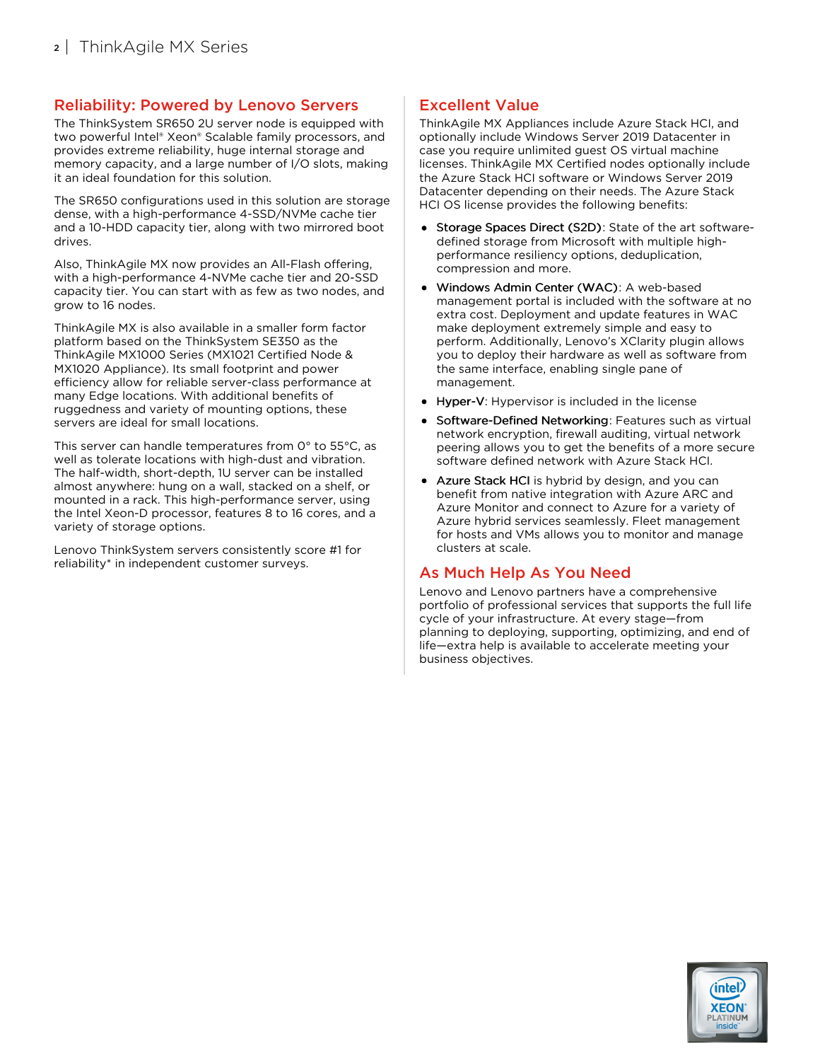## Reliability: Powered by Lenovo Servers

The ThinkSystem SR650 2U server node is equipped with two powerful Intel® Xeon® Scalable family processors, and provides extreme reliability, huge internal storage and memory capacity, and a large number of I/O slots, making it an ideal foundation for this solution.

The SR650 configurations used in this solution are storage dense, with a high-performance 4-SSD/NVMe cache tier and a 10-HDD capacity tier, along with two mirrored boot drives.

Also, ThinkAgile MX now provides an All-Flash offering, with a high-performance 4-NVMe cache tier and 20-SSD capacity tier. You can start with as few as two nodes, and grow to 16 nodes.

ThinkAgile MX is also available in a smaller form factor platform based on the ThinkSystem SE350 as the ThinkAgile MX1000 Series (MX1021 Certified Node & MX1020 Appliance). Its small footprint and power efficiency allow for reliable server-class performance at many Edge locations. With additional benefits of ruggedness and variety of mounting options, these servers are ideal for small locations.

This server can handle temperatures from 0° to 55°C, as well as tolerate locations with high-dust and vibration. The half-width, short-depth, 1U server can be installed almost anywhere: hung on a wall, stacked on a shelf, or mounted in a rack. This high-performance server, using the Intel Xeon-D processor, features 8 to 16 cores, and a variety of storage options.

Lenovo ThinkSystem servers consistently score #1 for reliability\* in independent customer surveys.

## Excellent Value

ThinkAgile MX Appliances include Azure Stack HCI, and optionally include Windows Server 2019 Datacenter in case you require unlimited guest OS virtual machine licenses. ThinkAgile MX Certified nodes optionally include the Azure Stack HCI software or Windows Server 2019 Datacenter depending on their needs. The Azure Stack HCI OS license provides the following benefits:

- Storage Spaces Direct (S2D): State of the art softwaredefined storage from Microsoft with multiple highperformance resiliency options, deduplication, compression and more.
- Windows Admin Center (WAC): A web-based management portal is included with the software at no extra cost. Deployment and update features in WAC make deployment extremely simple and easy to perform. Additionally, Lenovo's XClarity plugin allows you to deploy their hardware as well as software from the same interface, enabling single pane of management.
- Hyper-V: Hypervisor is included in the license
- **Software-Defined Networking: Features such as virtual** network encryption, firewall auditing, virtual network peering allows you to get the benefits of a more secure software defined network with Azure Stack HCI.
- Azure Stack HCI is hybrid by design, and you can benefit from native integration with Azure ARC and Azure Monitor and connect to Azure for a variety of Azure hybrid services seamlessly. Fleet management for hosts and VMs allows you to monitor and manage clusters at scale.

#### As Much Help As You Need

Lenovo and Lenovo partners have a comprehensive portfolio of professional services that supports the full life cycle of your infrastructure. At every stage—from planning to deploying, supporting, optimizing, and end of life—extra help is available to accelerate meeting your business objectives.